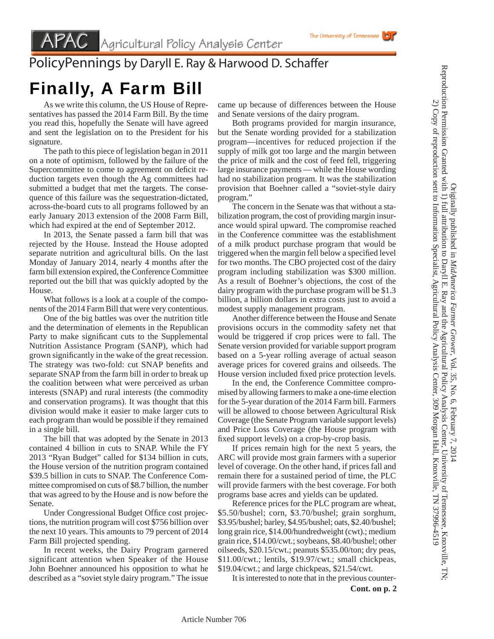## PolicyPennings by Daryll E. Ray & Harwood D. Schaffer

## Finally, A Farm Bill

 As we write this column, the US House of Representatives has passed the 2014 Farm Bill. By the time you read this, hopefully the Senate will have agreed and sent the legislation on to the President for his signature.

 The path to this piece of legislation began in 2011 on a note of optimism, followed by the failure of the Supercommittee to come to agreement on deficit reduction targets even though the Ag committees had submitted a budget that met the targets. The consequence of this failure was the sequestration-dictated, across-the-board cuts to all programs followed by an early January 2013 extension of the 2008 Farm Bill, which had expired at the end of September 2012.

 In 2013, the Senate passed a farm bill that was rejected by the House. Instead the House adopted separate nutrition and agricultural bills. On the last Monday of January 2014, nearly 4 months after the farm bill extension expired, the Conference Committee reported out the bill that was quickly adopted by the House.

 What follows is a look at a couple of the components of the 2014 Farm Bill that were very contentious.

 One of the big battles was over the nutrition title and the determination of elements in the Republican Party to make significant cuts to the Supplemental Nutrition Assistance Program (SANP), which had grown significantly in the wake of the great recession. The strategy was two-fold: cut SNAP benefits and separate SNAP from the farm bill in order to break up the coalition between what were perceived as urban interests (SNAP) and rural interests (the commodity and conservation programs). It was thought that this division would make it easier to make larger cuts to each program than would be possible if they remained in a single bill.

 The bill that was adopted by the Senate in 2013 contained 4 billion in cuts to SNAP. While the FY 2013 "Ryan Budget" called for \$134 billion in cuts, the House version of the nutrition program contained \$39.5 billion in cuts to SNAP. The Conference Committee compromised on cuts of \$8.7 billion, the number that was agreed to by the House and is now before the Senate.

Under Congressional Budget Office cost projections, the nutrition program will cost \$756 billion over the next 10 years. This amounts to 79 percent of 2014 Farm Bill projected spending.

 In recent weeks, the Dairy Program garnered significant attention when Speaker of the House John Boehner announced his opposition to what he described as a "soviet style dairy program." The issue came up because of differences between the House and Senate versions of the dairy program.

 Both programs provided for margin insurance, but the Senate wording provided for a stabilization program—incentives for reduced projection if the supply of milk got too large and the margin between the price of milk and the cost of feed fell, triggering large insurance payments — while the House wording had no stabilization program. It was the stabilization provision that Boehner called a "soviet-style dairy program."

 The concern in the Senate was that without a stabilization program, the cost of providing margin insurance would spiral upward. The compromise reached in the Conference committee was the establishment of a milk product purchase program that would be triggered when the margin fell below a specified level for two months. The CBO projected cost of the dairy program including stabilization was \$300 million. As a result of Boehner's objections, the cost of the dairy program with the purchase program will be \$1.3 billion, a billion dollars in extra costs just to avoid a modest supply management program.

 Another difference between the House and Senate provisions occurs in the commodity safety net that would be triggered if crop prices were to fall. The Senate version provided for variable support program based on a 5-year rolling average of actual season average prices for covered grains and oilseeds. The House version included fixed price protection levels.

 In the end, the Conference Committee compromised by allowing farmers to make a one-time election for the 5-year duration of the 2014 Farm bill. Farmers will be allowed to choose between Agricultural Risk Coverage (the Senate Program variable support levels) and Price Loss Coverage (the House program with fixed support levels) on a crop-by-crop basis.

 If prices remain high for the next 5 years, the ARC will provide most grain farmers with a superior level of coverage. On the other hand, if prices fall and remain there for a sustained period of time, the PLC will provide farmers with the best coverage. For both programs base acres and yields can be updated.

 Reference prices for the PLC program are wheat, \$5.50/bushel; corn, \$3.70/bushel; grain sorghum, \$3.95/bushel; barley, \$4.95/bushel; oats, \$2.40/bushel; long grain rice, \$14.00/hundredweight (cwt).; medium grain rice, \$14.00/cwt.; soybeans, \$8.40/bushel; other oilseeds, \$20.15/cwt.; peanuts \$535.00/ton; dry peas, \$11.00/cwt.; lentils, \$19.97/cwt.; small chickpeas, \$19.04/cwt.; and large chickpeas, \$21.54/cwt.

 It is interested to note that in the previous counter-**Cont. on p. 2** Originally published in *MidAmerica Farmer Grower*

Originally published in MidAmerica Farmer Grower, Vol. 35, No. 6, February 7, 2014